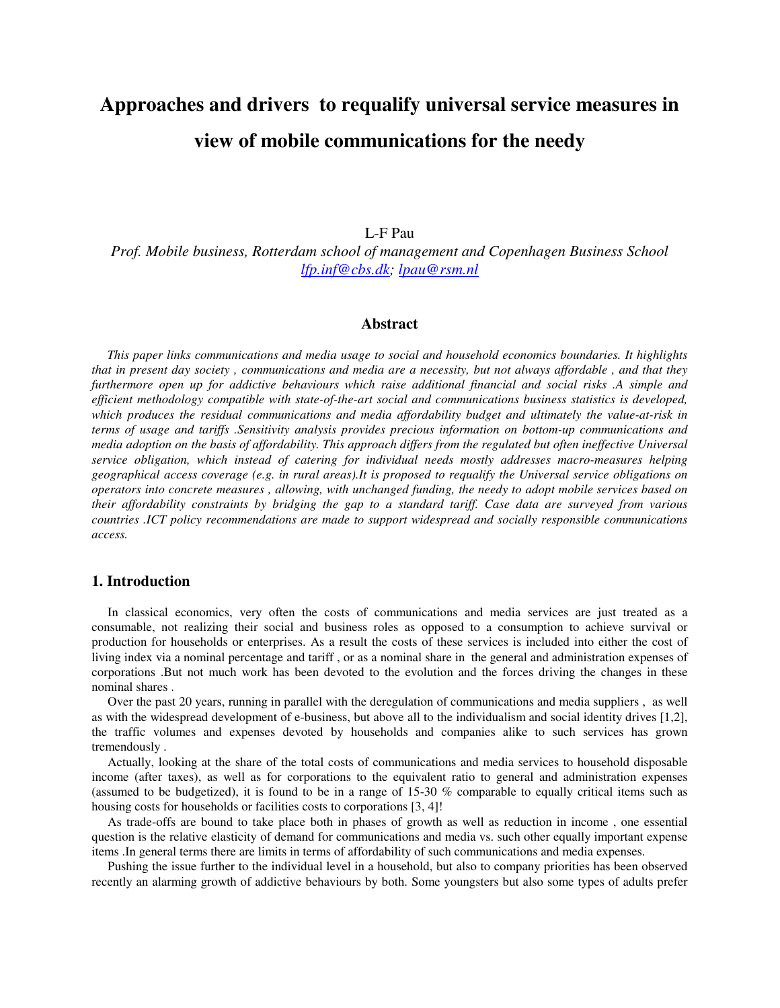# **Approaches and drivers to requalify universal service measures in view of mobile communications for the needy**

L-F Pau

*Prof. Mobile business, Rotterdam school of management and Copenhagen Business School lfp.inf@cbs.dk; lpau@rsm.nl* 

## **Abstract**

*This paper links communications and media usage to social and household economics boundaries. It highlights that in present day society , communications and media are a necessity, but not always affordable , and that they furthermore open up for addictive behaviours which raise additional financial and social risks .A simple and efficient methodology compatible with state-of-the-art social and communications business statistics is developed, which produces the residual communications and media affordability budget and ultimately the value-at-risk in terms of usage and tariffs .Sensitivity analysis provides precious information on bottom-up communications and media adoption on the basis of affordability. This approach differs from the regulated but often ineffective Universal service obligation, which instead of catering for individual needs mostly addresses macro-measures helping geographical access coverage (e.g. in rural areas).It is proposed to requalify the Universal service obligations on operators into concrete measures , allowing, with unchanged funding, the needy to adopt mobile services based on their affordability constraints by bridging the gap to a standard tariff. Case data are surveyed from various countries .ICT policy recommendations are made to support widespread and socially responsible communications access.* 

#### **1. Introduction**

 In classical economics, very often the costs of communications and media services are just treated as a consumable, not realizing their social and business roles as opposed to a consumption to achieve survival or production for households or enterprises. As a result the costs of these services is included into either the cost of living index via a nominal percentage and tariff , or as a nominal share in the general and administration expenses of corporations .But not much work has been devoted to the evolution and the forces driving the changes in these nominal shares .

 Over the past 20 years, running in parallel with the deregulation of communications and media suppliers , as well as with the widespread development of e-business, but above all to the individualism and social identity drives [1,2], the traffic volumes and expenses devoted by households and companies alike to such services has grown tremendously .

 Actually, looking at the share of the total costs of communications and media services to household disposable income (after taxes), as well as for corporations to the equivalent ratio to general and administration expenses (assumed to be budgetized), it is found to be in a range of 15-30 % comparable to equally critical items such as housing costs for households or facilities costs to corporations [3, 4]!

 As trade-offs are bound to take place both in phases of growth as well as reduction in income , one essential question is the relative elasticity of demand for communications and media vs. such other equally important expense items .In general terms there are limits in terms of affordability of such communications and media expenses.

 Pushing the issue further to the individual level in a household, but also to company priorities has been observed recently an alarming growth of addictive behaviours by both. Some youngsters but also some types of adults prefer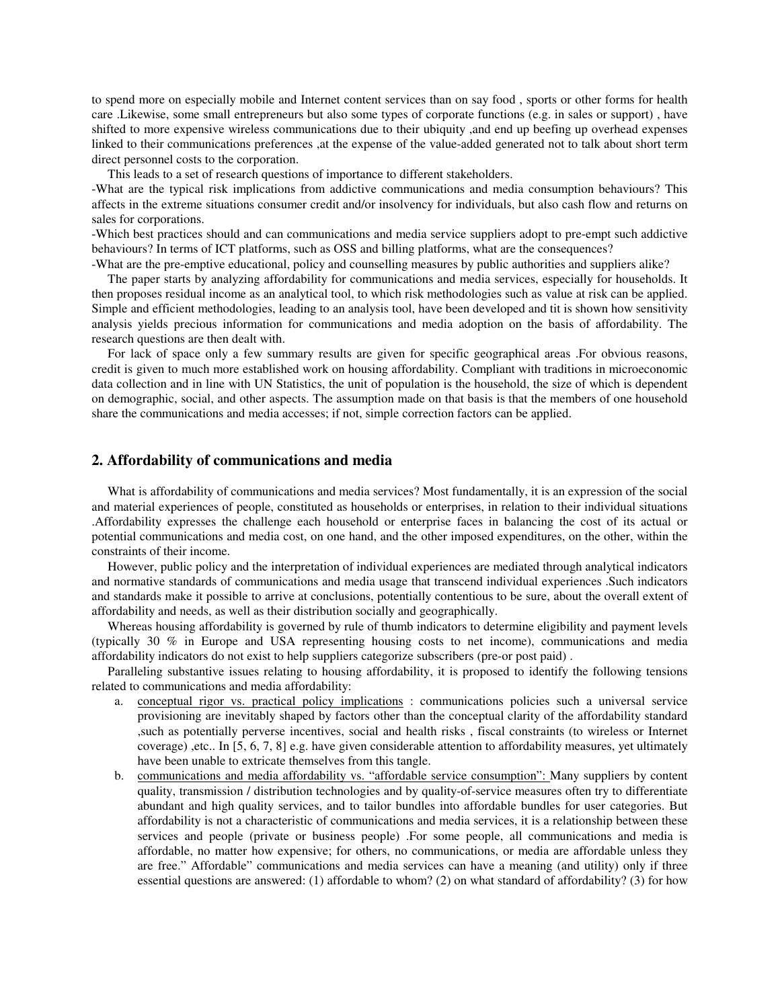to spend more on especially mobile and Internet content services than on say food , sports or other forms for health care .Likewise, some small entrepreneurs but also some types of corporate functions (e.g. in sales or support) , have shifted to more expensive wireless communications due to their ubiquity ,and end up beefing up overhead expenses linked to their communications preferences ,at the expense of the value-added generated not to talk about short term direct personnel costs to the corporation.

This leads to a set of research questions of importance to different stakeholders.

-What are the typical risk implications from addictive communications and media consumption behaviours? This affects in the extreme situations consumer credit and/or insolvency for individuals, but also cash flow and returns on sales for corporations.

-Which best practices should and can communications and media service suppliers adopt to pre-empt such addictive behaviours? In terms of ICT platforms, such as OSS and billing platforms, what are the consequences?

-What are the pre-emptive educational, policy and counselling measures by public authorities and suppliers alike? The paper starts by analyzing affordability for communications and media services, especially for households. It then proposes residual income as an analytical tool, to which risk methodologies such as value at risk can be applied. Simple and efficient methodologies, leading to an analysis tool, have been developed and tit is shown how sensitivity analysis yields precious information for communications and media adoption on the basis of affordability. The research questions are then dealt with.

 For lack of space only a few summary results are given for specific geographical areas .For obvious reasons, credit is given to much more established work on housing affordability. Compliant with traditions in microeconomic data collection and in line with UN Statistics, the unit of population is the household, the size of which is dependent on demographic, social, and other aspects. The assumption made on that basis is that the members of one household share the communications and media accesses; if not, simple correction factors can be applied.

# **2. Affordability of communications and media**

 What is affordability of communications and media services? Most fundamentally, it is an expression of the social and material experiences of people, constituted as households or enterprises, in relation to their individual situations .Affordability expresses the challenge each household or enterprise faces in balancing the cost of its actual or potential communications and media cost, on one hand, and the other imposed expenditures, on the other, within the constraints of their income.

 However, public policy and the interpretation of individual experiences are mediated through analytical indicators and normative standards of communications and media usage that transcend individual experiences .Such indicators and standards make it possible to arrive at conclusions, potentially contentious to be sure, about the overall extent of affordability and needs, as well as their distribution socially and geographically.

 Whereas housing affordability is governed by rule of thumb indicators to determine eligibility and payment levels (typically 30 % in Europe and USA representing housing costs to net income), communications and media affordability indicators do not exist to help suppliers categorize subscribers (pre-or post paid) .

 Paralleling substantive issues relating to housing affordability, it is proposed to identify the following tensions related to communications and media affordability:

- a. conceptual rigor vs. practical policy implications : communications policies such a universal service provisioning are inevitably shaped by factors other than the conceptual clarity of the affordability standard ,such as potentially perverse incentives, social and health risks , fiscal constraints (to wireless or Internet coverage) ,etc.. In [5, 6, 7, 8] e.g. have given considerable attention to affordability measures, yet ultimately have been unable to extricate themselves from this tangle.
- b. communications and media affordability vs. "affordable service consumption": Many suppliers by content quality, transmission / distribution technologies and by quality-of-service measures often try to differentiate abundant and high quality services, and to tailor bundles into affordable bundles for user categories. But affordability is not a characteristic of communications and media services, it is a relationship between these services and people (private or business people) .For some people, all communications and media is affordable, no matter how expensive; for others, no communications, or media are affordable unless they are free." Affordable" communications and media services can have a meaning (and utility) only if three essential questions are answered: (1) affordable to whom? (2) on what standard of affordability? (3) for how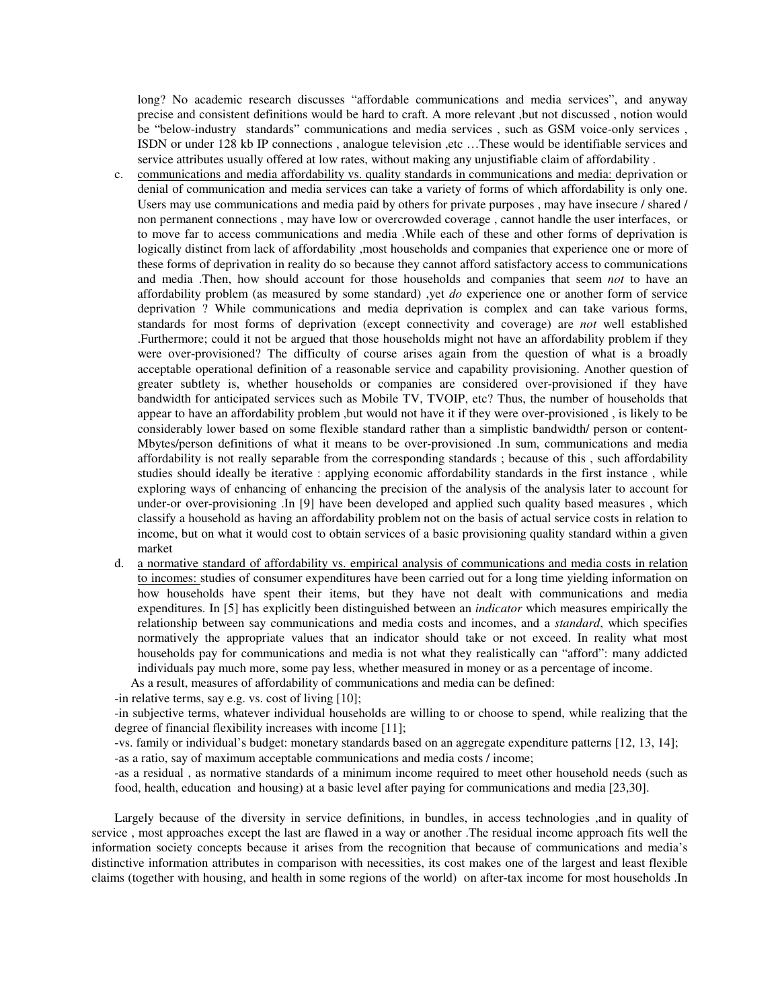long? No academic research discusses "affordable communications and media services", and anyway precise and consistent definitions would be hard to craft. A more relevant ,but not discussed , notion would be "below-industry standards" communications and media services , such as GSM voice-only services , ISDN or under 128 kb IP connections , analogue television ,etc …These would be identifiable services and service attributes usually offered at low rates, without making any unjustifiable claim of affordability .

- c. communications and media affordability vs. quality standards in communications and media: deprivation or denial of communication and media services can take a variety of forms of which affordability is only one. Users may use communications and media paid by others for private purposes , may have insecure / shared / non permanent connections , may have low or overcrowded coverage , cannot handle the user interfaces, or to move far to access communications and media .While each of these and other forms of deprivation is logically distinct from lack of affordability ,most households and companies that experience one or more of these forms of deprivation in reality do so because they cannot afford satisfactory access to communications and media .Then, how should account for those households and companies that seem *not* to have an affordability problem (as measured by some standard) ,yet *do* experience one or another form of service deprivation ? While communications and media deprivation is complex and can take various forms, standards for most forms of deprivation (except connectivity and coverage) are *not* well established .Furthermore; could it not be argued that those households might not have an affordability problem if they were over-provisioned? The difficulty of course arises again from the question of what is a broadly acceptable operational definition of a reasonable service and capability provisioning. Another question of greater subtlety is, whether households or companies are considered over-provisioned if they have bandwidth for anticipated services such as Mobile TV, TVOIP, etc? Thus, the number of households that appear to have an affordability problem ,but would not have it if they were over-provisioned , is likely to be considerably lower based on some flexible standard rather than a simplistic bandwidth/ person or content-Mbytes/person definitions of what it means to be over-provisioned .In sum, communications and media affordability is not really separable from the corresponding standards ; because of this , such affordability studies should ideally be iterative : applying economic affordability standards in the first instance , while exploring ways of enhancing of enhancing the precision of the analysis of the analysis later to account for under-or over-provisioning .In [9] have been developed and applied such quality based measures , which classify a household as having an affordability problem not on the basis of actual service costs in relation to income, but on what it would cost to obtain services of a basic provisioning quality standard within a given market
- d. a normative standard of affordability vs. empirical analysis of communications and media costs in relation to incomes: studies of consumer expenditures have been carried out for a long time yielding information on how households have spent their items, but they have not dealt with communications and media expenditures. In [5] has explicitly been distinguished between an *indicator* which measures empirically the relationship between say communications and media costs and incomes, and a *standard*, which specifies normatively the appropriate values that an indicator should take or not exceed. In reality what most households pay for communications and media is not what they realistically can "afford": many addicted individuals pay much more, some pay less, whether measured in money or as a percentage of income.

As a result, measures of affordability of communications and media can be defined:

-in relative terms, say e.g. vs. cost of living [10];

-in subjective terms, whatever individual households are willing to or choose to spend, while realizing that the degree of financial flexibility increases with income [11];

-vs. family or individual's budget: monetary standards based on an aggregate expenditure patterns [12, 13, 14]; -as a ratio, say of maximum acceptable communications and media costs / income;

-as a residual , as normative standards of a minimum income required to meet other household needs (such as food, health, education and housing) at a basic level after paying for communications and media [23,30].

Largely because of the diversity in service definitions, in bundles, in access technologies ,and in quality of service , most approaches except the last are flawed in a way or another .The residual income approach fits well the information society concepts because it arises from the recognition that because of communications and media's distinctive information attributes in comparison with necessities, its cost makes one of the largest and least flexible claims (together with housing, and health in some regions of the world) on after-tax income for most households .In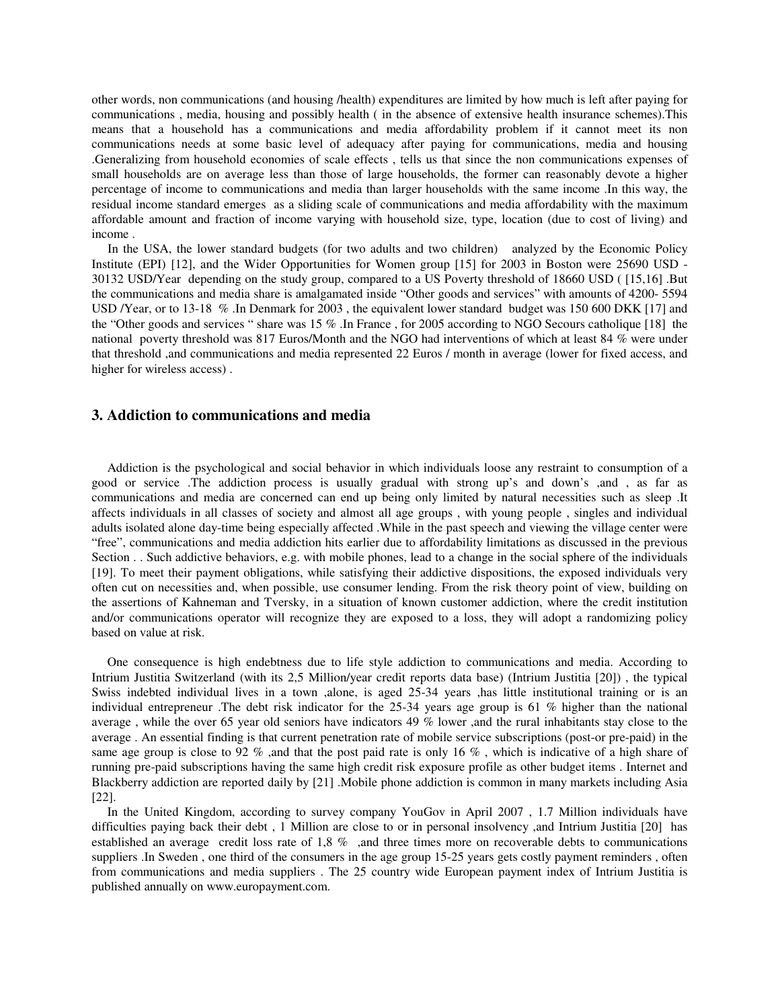other words, non communications (and housing /health) expenditures are limited by how much is left after paying for communications , media, housing and possibly health ( in the absence of extensive health insurance schemes).This means that a household has a communications and media affordability problem if it cannot meet its non communications needs at some basic level of adequacy after paying for communications, media and housing .Generalizing from household economies of scale effects , tells us that since the non communications expenses of small households are on average less than those of large households, the former can reasonably devote a higher percentage of income to communications and media than larger households with the same income .In this way, the residual income standard emerges as a sliding scale of communications and media affordability with the maximum affordable amount and fraction of income varying with household size, type, location (due to cost of living) and income .

 In the USA, the lower standard budgets (for two adults and two children) analyzed by the Economic Policy Institute (EPI) [12], and the Wider Opportunities for Women group [15] for 2003 in Boston were 25690 USD - 30132 USD/Year depending on the study group, compared to a US Poverty threshold of 18660 USD ( [15,16] .But the communications and media share is amalgamated inside "Other goods and services" with amounts of 4200- 5594 USD /Year, or to 13-18 % .In Denmark for 2003 , the equivalent lower standard budget was 150 600 DKK [17] and the "Other goods and services " share was 15 % .In France , for 2005 according to NGO Secours catholique [18] the national poverty threshold was 817 Euros/Month and the NGO had interventions of which at least 84 % were under that threshold ,and communications and media represented 22 Euros / month in average (lower for fixed access, and higher for wireless access) .

## **3. Addiction to communications and media**

Addiction is the psychological and social behavior in which individuals loose any restraint to consumption of a good or service .The addiction process is usually gradual with strong up's and down's ,and , as far as communications and media are concerned can end up being only limited by natural necessities such as sleep .It affects individuals in all classes of society and almost all age groups , with young people , singles and individual adults isolated alone day-time being especially affected .While in the past speech and viewing the village center were "free", communications and media addiction hits earlier due to affordability limitations as discussed in the previous Section . . Such addictive behaviors, e.g. with mobile phones, lead to a change in the social sphere of the individuals [19]. To meet their payment obligations, while satisfying their addictive dispositions, the exposed individuals very often cut on necessities and, when possible, use consumer lending. From the risk theory point of view, building on the assertions of Kahneman and Tversky, in a situation of known customer addiction, where the credit institution and/or communications operator will recognize they are exposed to a loss, they will adopt a randomizing policy based on value at risk.

One consequence is high endebtness due to life style addiction to communications and media. According to Intrium Justitia Switzerland (with its 2,5 Million/year credit reports data base) (Intrium Justitia [20]) , the typical Swiss indebted individual lives in a town ,alone, is aged 25-34 years ,has little institutional training or is an individual entrepreneur .The debt risk indicator for the 25-34 years age group is 61 % higher than the national average , while the over 65 year old seniors have indicators 49 % lower ,and the rural inhabitants stay close to the average . An essential finding is that current penetration rate of mobile service subscriptions (post-or pre-paid) in the same age group is close to 92 % ,and that the post paid rate is only 16 %, which is indicative of a high share of running pre-paid subscriptions having the same high credit risk exposure profile as other budget items . Internet and Blackberry addiction are reported daily by [21] .Mobile phone addiction is common in many markets including Asia [22].

In the United Kingdom, according to survey company YouGov in April 2007 , 1.7 Million individuals have difficulties paying back their debt, 1 Million are close to or in personal insolvency ,and Intrium Justitia [20] has established an average credit loss rate of 1,8 % ,and three times more on recoverable debts to communications suppliers .In Sweden, one third of the consumers in the age group 15-25 years gets costly payment reminders, often from communications and media suppliers . The 25 country wide European payment index of Intrium Justitia is published annually on www.europayment.com.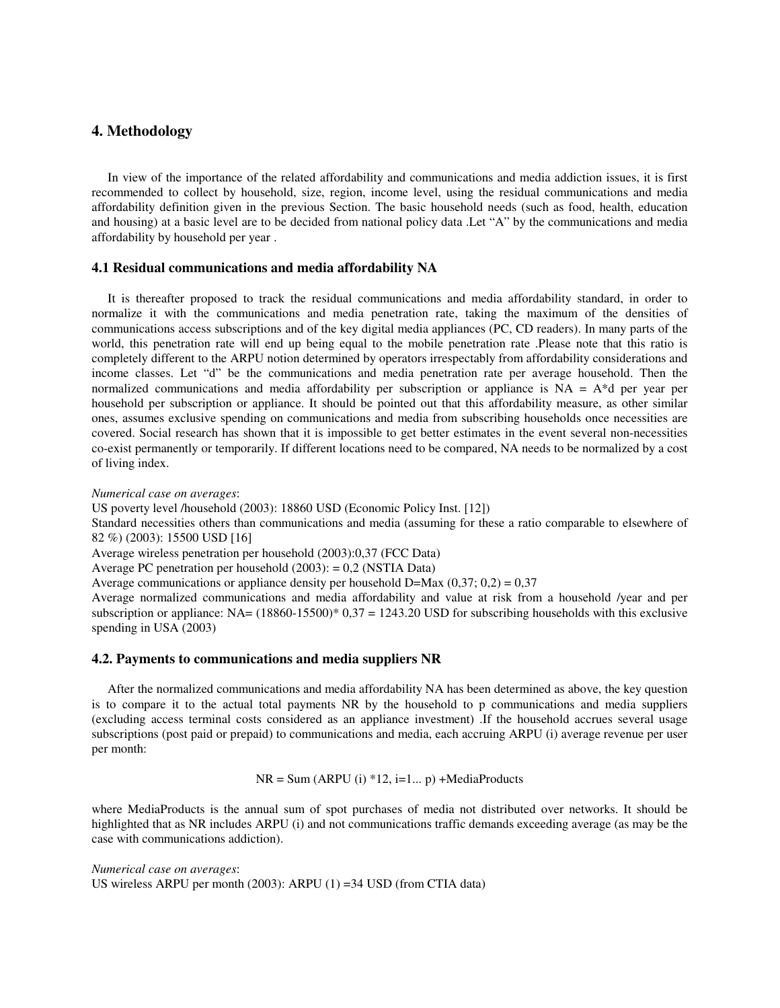## **4. Methodology**

 In view of the importance of the related affordability and communications and media addiction issues, it is first recommended to collect by household, size, region, income level, using the residual communications and media affordability definition given in the previous Section. The basic household needs (such as food, health, education and housing) at a basic level are to be decided from national policy data .Let "A" by the communications and media affordability by household per year .

#### **4.1 Residual communications and media affordability NA**

 It is thereafter proposed to track the residual communications and media affordability standard, in order to normalize it with the communications and media penetration rate, taking the maximum of the densities of communications access subscriptions and of the key digital media appliances (PC, CD readers). In many parts of the world, this penetration rate will end up being equal to the mobile penetration rate .Please note that this ratio is completely different to the ARPU notion determined by operators irrespectably from affordability considerations and income classes. Let "d" be the communications and media penetration rate per average household. Then the normalized communications and media affordability per subscription or appliance is  $NA = A^*d$  per year per household per subscription or appliance. It should be pointed out that this affordability measure, as other similar ones, assumes exclusive spending on communications and media from subscribing households once necessities are covered. Social research has shown that it is impossible to get better estimates in the event several non-necessities co-exist permanently or temporarily. If different locations need to be compared, NA needs to be normalized by a cost of living index.

*Numerical case on averages*:

US poverty level /household (2003): 18860 USD (Economic Policy Inst. [12])

Standard necessities others than communications and media (assuming for these a ratio comparable to elsewhere of 82 %) (2003): 15500 USD [16]

Average wireless penetration per household (2003):0,37 (FCC Data)

Average PC penetration per household (2003): = 0,2 (NSTIA Data)

Average communications or appliance density per household D=Max  $(0.37; 0.2) = 0.37$ 

Average normalized communications and media affordability and value at risk from a household /year and per subscription or appliance:  $NA = (18860-15500)^* 0.37 = 1243.20$  USD for subscribing households with this exclusive spending in USA (2003)

#### **4.2. Payments to communications and media suppliers NR**

 After the normalized communications and media affordability NA has been determined as above, the key question is to compare it to the actual total payments NR by the household to p communications and media suppliers (excluding access terminal costs considered as an appliance investment) .If the household accrues several usage subscriptions (post paid or prepaid) to communications and media, each accruing ARPU (i) average revenue per user per month:

 $NR = Sum (ARPU (i) *12, i=1... p) + MediaProducts$ 

where MediaProducts is the annual sum of spot purchases of media not distributed over networks. It should be highlighted that as NR includes ARPU (i) and not communications traffic demands exceeding average (as may be the case with communications addiction).

*Numerical case on averages*: US wireless ARPU per month (2003): ARPU (1) =34 USD (from CTIA data)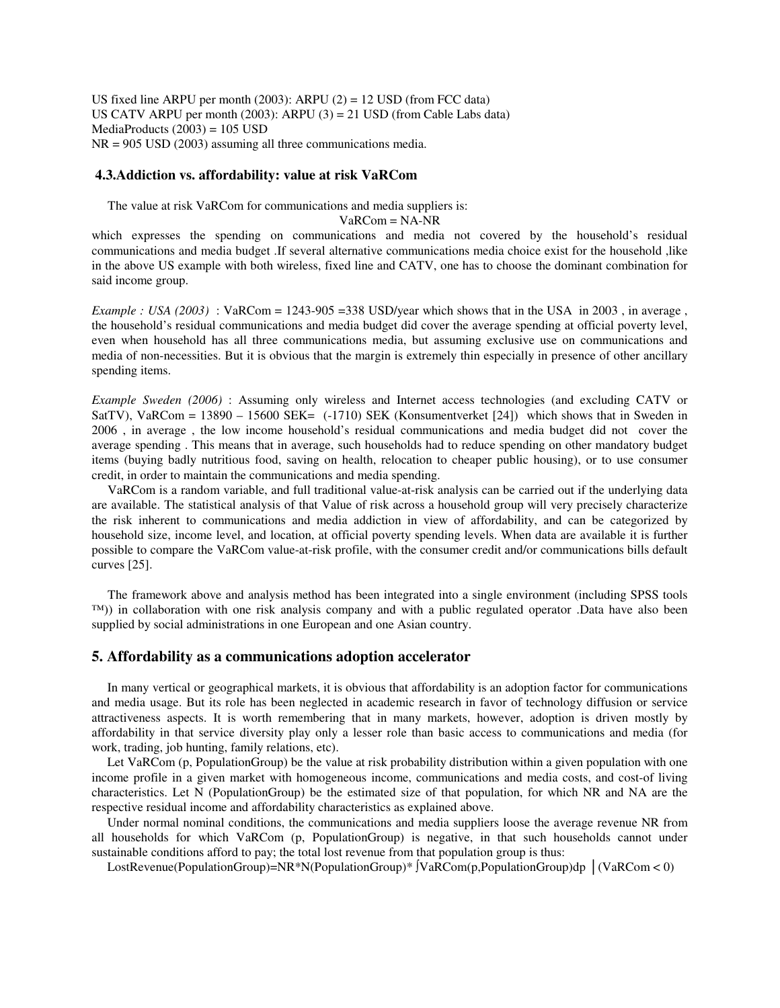US fixed line ARPU per month (2003): ARPU (2) = 12 USD (from FCC data) US CATV ARPU per month  $(2003)$ : ARPU  $(3) = 21$  USD (from Cable Labs data)  $MediaProducts (2003) = 105 USD$ NR = 905 USD (2003) assuming all three communications media.

#### **4.3.Addiction vs. affordability: value at risk VaRCom**

The value at risk VaRCom for communications and media suppliers is:

VaRCom = NA-NR

which expresses the spending on communications and media not covered by the household's residual communications and media budget .If several alternative communications media choice exist for the household ,like in the above US example with both wireless, fixed line and CATV, one has to choose the dominant combination for said income group.

*Example : USA (2003)* : VaRCom = 1243-905 = 338 USD/year which shows that in the USA in 2003, in average, the household's residual communications and media budget did cover the average spending at official poverty level, even when household has all three communications media, but assuming exclusive use on communications and media of non-necessities. But it is obvious that the margin is extremely thin especially in presence of other ancillary spending items.

*Example Sweden (2006)* : Assuming only wireless and Internet access technologies (and excluding CATV or SatTV), VaRCom = 13890 – 15600 SEK= (-1710) SEK (Konsumentverket [24]) which shows that in Sweden in 2006 , in average , the low income household's residual communications and media budget did not cover the average spending . This means that in average, such households had to reduce spending on other mandatory budget items (buying badly nutritious food, saving on health, relocation to cheaper public housing), or to use consumer credit, in order to maintain the communications and media spending.

 VaRCom is a random variable, and full traditional value-at-risk analysis can be carried out if the underlying data are available. The statistical analysis of that Value of risk across a household group will very precisely characterize the risk inherent to communications and media addiction in view of affordability, and can be categorized by household size, income level, and location, at official poverty spending levels. When data are available it is further possible to compare the VaRCom value-at-risk profile, with the consumer credit and/or communications bills default curves [25].

 The framework above and analysis method has been integrated into a single environment (including SPSS tools ™)) in collaboration with one risk analysis company and with a public regulated operator .Data have also been supplied by social administrations in one European and one Asian country.

#### **5. Affordability as a communications adoption accelerator**

In many vertical or geographical markets, it is obvious that affordability is an adoption factor for communications and media usage. But its role has been neglected in academic research in favor of technology diffusion or service attractiveness aspects. It is worth remembering that in many markets, however, adoption is driven mostly by affordability in that service diversity play only a lesser role than basic access to communications and media (for work, trading, job hunting, family relations, etc).

Let VaRCom (p, PopulationGroup) be the value at risk probability distribution within a given population with one income profile in a given market with homogeneous income, communications and media costs, and cost-of living characteristics. Let N (PopulationGroup) be the estimated size of that population, for which NR and NA are the respective residual income and affordability characteristics as explained above.

Under normal nominal conditions, the communications and media suppliers loose the average revenue NR from all households for which VaRCom (p, PopulationGroup) is negative, in that such households cannot under sustainable conditions afford to pay; the total lost revenue from that population group is thus:

LostRevenue(PopulationGroup)=NR\*N(PopulationGroup)\* ∫VaRCom(p,PopulationGroup)dp │(VaRCom < 0)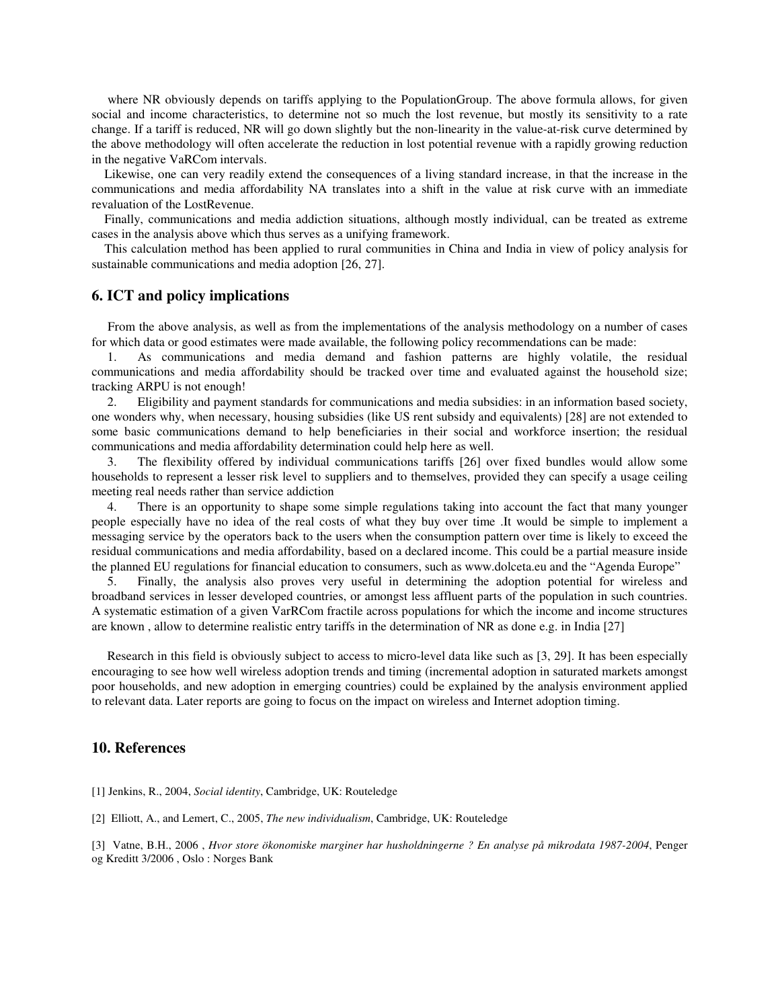where NR obviously depends on tariffs applying to the PopulationGroup. The above formula allows, for given social and income characteristics, to determine not so much the lost revenue, but mostly its sensitivity to a rate change. If a tariff is reduced, NR will go down slightly but the non-linearity in the value-at-risk curve determined by the above methodology will often accelerate the reduction in lost potential revenue with a rapidly growing reduction in the negative VaRCom intervals.

 Likewise, one can very readily extend the consequences of a living standard increase, in that the increase in the communications and media affordability NA translates into a shift in the value at risk curve with an immediate revaluation of the LostRevenue.

 Finally, communications and media addiction situations, although mostly individual, can be treated as extreme cases in the analysis above which thus serves as a unifying framework.

 This calculation method has been applied to rural communities in China and India in view of policy analysis for sustainable communications and media adoption [26, 27].

#### **6. ICT and policy implications**

 From the above analysis, as well as from the implementations of the analysis methodology on a number of cases for which data or good estimates were made available, the following policy recommendations can be made:

1. As communications and media demand and fashion patterns are highly volatile, the residual communications and media affordability should be tracked over time and evaluated against the household size; tracking ARPU is not enough!

2. Eligibility and payment standards for communications and media subsidies: in an information based society, one wonders why, when necessary, housing subsidies (like US rent subsidy and equivalents) [28] are not extended to some basic communications demand to help beneficiaries in their social and workforce insertion; the residual communications and media affordability determination could help here as well.

3. The flexibility offered by individual communications tariffs [26] over fixed bundles would allow some households to represent a lesser risk level to suppliers and to themselves, provided they can specify a usage ceiling meeting real needs rather than service addiction

4. There is an opportunity to shape some simple regulations taking into account the fact that many younger people especially have no idea of the real costs of what they buy over time .It would be simple to implement a messaging service by the operators back to the users when the consumption pattern over time is likely to exceed the residual communications and media affordability, based on a declared income. This could be a partial measure inside the planned EU regulations for financial education to consumers, such as www.dolceta.eu and the "Agenda Europe"

5. Finally, the analysis also proves very useful in determining the adoption potential for wireless and broadband services in lesser developed countries, or amongst less affluent parts of the population in such countries. A systematic estimation of a given VarRCom fractile across populations for which the income and income structures are known , allow to determine realistic entry tariffs in the determination of NR as done e.g. in India [27]

Research in this field is obviously subject to access to micro-level data like such as [3, 29]. It has been especially encouraging to see how well wireless adoption trends and timing (incremental adoption in saturated markets amongst poor households, and new adoption in emerging countries) could be explained by the analysis environment applied to relevant data. Later reports are going to focus on the impact on wireless and Internet adoption timing.

# **10. References**

[1] Jenkins, R., 2004, *Social identity*, Cambridge, UK: Routeledge

[2] Elliott, A., and Lemert, C., 2005, *The new individualism*, Cambridge, UK: Routeledge

[3] Vatne, B.H., 2006 , *Hvor store ökonomiske marginer har husholdningerne ? En analyse på mikrodata 1987-2004*, Penger og Kreditt 3/2006 , Oslo : Norges Bank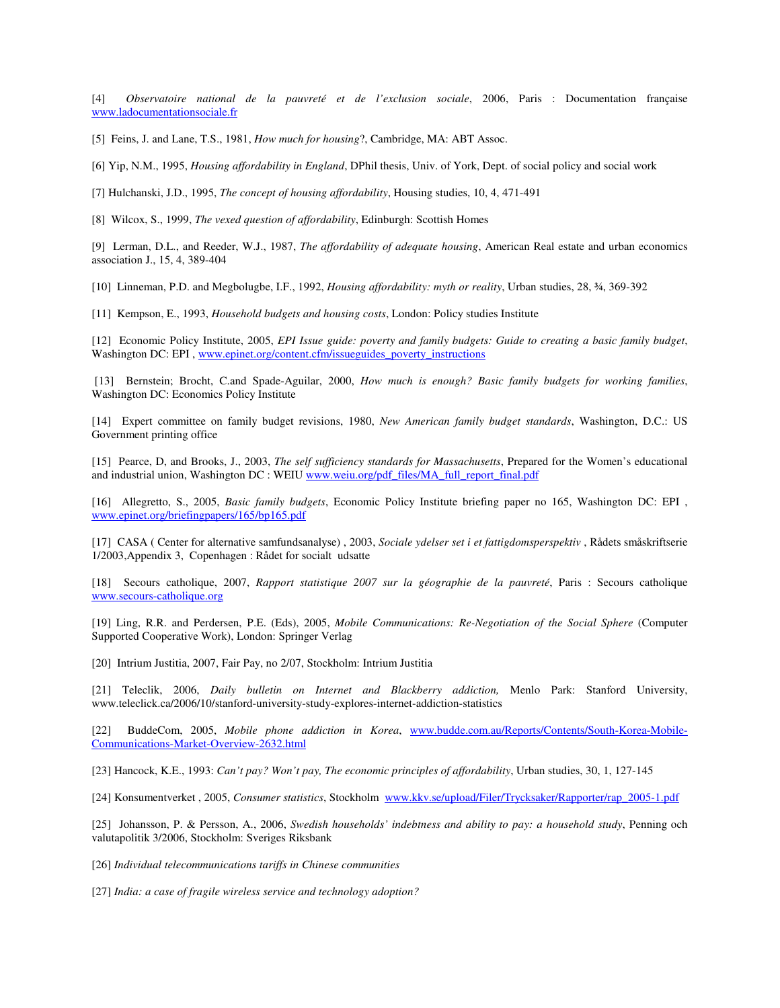[4] *Observatoire national de la pauvreté et de l'exclusion sociale*, 2006, Paris : Documentation française www.ladocumentationsociale.fr

[5] Feins, J. and Lane, T.S., 1981, *How much for housing*?, Cambridge, MA: ABT Assoc.

[6] Yip, N.M., 1995, *Housing affordability in England*, DPhil thesis, Univ. of York, Dept. of social policy and social work

[7] Hulchanski, J.D., 1995, *The concept of housing affordability*, Housing studies, 10, 4, 471-491

[8] Wilcox, S., 1999, *The vexed question of affordability*, Edinburgh: Scottish Homes

[9] Lerman, D.L., and Reeder, W.J., 1987, *The affordability of adequate housing*, American Real estate and urban economics association J., 15, 4, 389-404

[10] Linneman, P.D. and Megbolugbe, I.F., 1992, *Housing affordability: myth or reality*, Urban studies, 28, ¾, 369-392

[11] Kempson, E., 1993, *Household budgets and housing costs*, London: Policy studies Institute

[12] Economic Policy Institute, 2005, *EPI Issue guide: poverty and family budgets: Guide to creating a basic family budget*, Washington DC: EPI , www.epinet.org/content.cfm/issueguides\_poverty\_instructions

 [13] Bernstein; Brocht, C.and Spade-Aguilar, 2000, *How much is enough? Basic family budgets for working families*, Washington DC: Economics Policy Institute

[14] Expert committee on family budget revisions, 1980, *New American family budget standards*, Washington, D.C.: US Government printing office

[15] Pearce, D, and Brooks, J., 2003, *The self sufficiency standards for Massachusetts*, Prepared for the Women's educational and industrial union, Washington DC : WEIU www.weiu.org/pdf\_files/MA\_full\_report\_final.pdf

[16] Allegretto, S., 2005, *Basic family budgets*, Economic Policy Institute briefing paper no 165, Washington DC: EPI , www.epinet.org/briefingpapers/165/bp165.pdf

[17] CASA ( Center for alternative samfundsanalyse) , 2003, *Sociale ydelser set i et fattigdomsperspektiv* , Rådets småskriftserie 1/2003,Appendix 3, Copenhagen : Rådet for socialt udsatte

[18] Secours catholique, 2007, *Rapport statistique 2007 sur la géographie de la pauvreté*, Paris : Secours catholique www.secours-catholique.org

[19] Ling, R.R. and Perdersen, P.E. (Eds), 2005, *Mobile Communications: Re-Negotiation of the Social Sphere* (Computer Supported Cooperative Work), London: Springer Verlag

[20] Intrium Justitia, 2007, Fair Pay, no 2/07, Stockholm: Intrium Justitia

[21] Teleclik, 2006, *Daily bulletin on Internet and Blackberry addiction,* Menlo Park: Stanford University, www.teleclick.ca/2006/10/stanford-university-study-explores-internet-addiction-statistics

[22] BuddeCom, 2005, *Mobile phone addiction in Korea*, www.budde.com.au/Reports/Contents/South-Korea-Mobile-Communications-Market-Overview-2632.html

[23] Hancock, K.E., 1993: *Can't pay? Won't pay, The economic principles of affordability*, Urban studies, 30, 1, 127-145

[24] Konsumentverket , 2005, *Consumer statistics*, Stockholm www.kkv.se/upload/Filer/Trycksaker/Rapporter/rap\_2005-1.pdf

[25] Johansson, P. & Persson, A., 2006, *Swedish households' indebtness and ability to pay: a household study*, Penning och valutapolitik 3/2006, Stockholm: Sveriges Riksbank

[26] *Individual telecommunications tariffs in Chinese communities*

[27] *India: a case of fragile wireless service and technology adoption?*